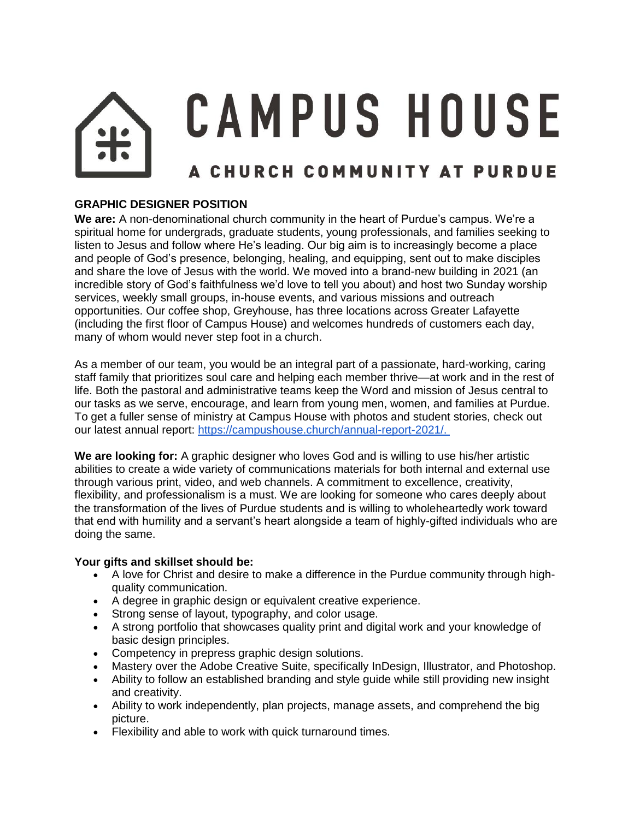# **CAMPUS HOUSE** A CHURCH COMMUNITY AT PURDUE

# **GRAPHIC DESIGNER POSITION**

**We are:** A non-denominational church community in the heart of Purdue's campus. We're a spiritual home for undergrads, graduate students, young professionals, and families seeking to listen to Jesus and follow where He's leading. Our big aim is to increasingly become a place and people of God's presence, belonging, healing, and equipping, sent out to make disciples and share the love of Jesus with the world. We moved into a brand-new building in 2021 (an incredible story of God's faithfulness we'd love to tell you about) and host two Sunday worship services, weekly small groups, in-house events, and various missions and outreach opportunities. Our coffee shop, Greyhouse, has three locations across Greater Lafayette (including the first floor of Campus House) and welcomes hundreds of customers each day, many of whom would never step foot in a church.

As a member of our team, you would be an integral part of a passionate, hard-working, caring staff family that prioritizes soul care and helping each member thrive—at work and in the rest of life. Both the pastoral and administrative teams keep the Word and mission of Jesus central to our tasks as we serve, encourage, and learn from young men, women, and families at Purdue. To get a fuller sense of ministry at Campus House with photos and student stories, check out our latest annual report: [https://campushouse.church/annual-report-2021/.](https://campushouse.church/annual-report-2021/)

**We are looking for:** A graphic designer who loves God and is willing to use his/her artistic abilities to create a wide variety of communications materials for both internal and external use through various print, video, and web channels. A commitment to excellence, creativity, flexibility, and professionalism is a must. We are looking for someone who cares deeply about the transformation of the lives of Purdue students and is willing to wholeheartedly work toward that end with humility and a servant's heart alongside a team of highly-gifted individuals who are doing the same.

## **Your gifts and skillset should be:**

- A love for Christ and desire to make a difference in the Purdue community through highquality communication.
- A degree in graphic design or equivalent creative experience.
- Strong sense of layout, typography, and color usage.
- A strong portfolio that showcases quality print and digital work and your knowledge of basic design principles.
- Competency in prepress graphic design solutions.
- Mastery over the Adobe Creative Suite, specifically InDesign, Illustrator, and Photoshop.
- Ability to follow an established branding and style guide while still providing new insight and creativity.
- Ability to work independently, plan projects, manage assets, and comprehend the big picture.
- Flexibility and able to work with quick turnaround times.